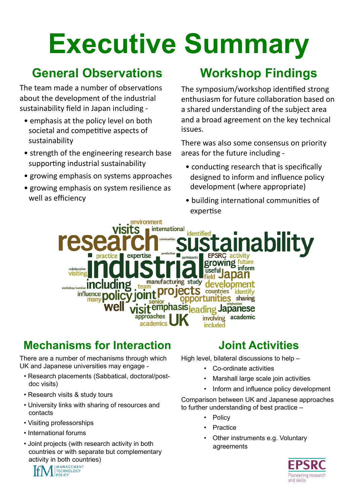# **Executive Summary**

#### **General Observations**

The team made a number of observations about the development of the industrial sustainability field in Japan including -

- $\bullet$  emphasis at the policy level on both societal and competitive aspects of sustainability
- $\bullet$  strength of the engineering research base supporting industrial sustainability
- growing emphasis on systems approaches
- growing emphasis on system resilience as well as efficiency

### **Workshop Findings**

The symposium/workshop identified strong enthusiasm for future collaboration based on a shared understanding of the subject area and a broad agreement on the key technical issues.

There was also some consensus on priority areas for the future including -

- $\bullet$  conducting research that is specifically designed to inform and influence policy development (where appropriate)
- building international communities of expertise

environment international **identified ability** expertise **EPSRC** activity practice growing future inform manufacturing study team workshon/semi oro Iects influence polic countries identify opportunities sharing Sit<sup>emphasis</sup>leading Japanese approaches academic involving academics included

#### **Mechanisms for Interaction**

There are a number of mechanisms through which UK and Japanese universities may engage -

- Research placements (Sabbatical, doctoral/postdoc visits)
- Research visits & study tours
- University links with sharing of resources and contacts
- Visiting professorships
- International forums
- Joint projects (with research activity in both countries or with separate but complementary activity in both countries)

#### **Joint Activities**

High level, bilateral discussions to help –

- Co-ordinate activities
- Marshall large scale join activities
- Inform and influence policy development

Comparison between UK and Japanese approaches to further understanding of best practice –

- **Policy**
- **Practice**
- Other instruments e.g. Voluntary agreements



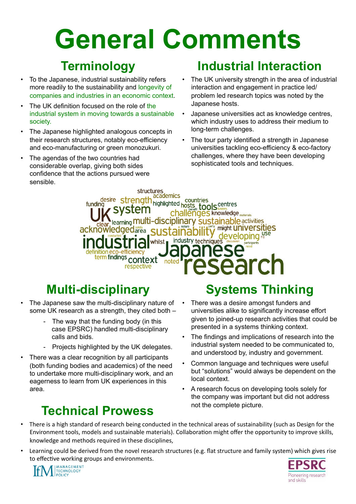## **General Comments**

#### **Terminology**

- To the Japanese, industrial sustainability refers more readily to the sustainability and longevity of companies and industries in an economic context.
- The UK definition focused on the role of the industrial system in moving towards a sustainable society.
- The Japanese highlighted analogous concepts in their research structures, notably eco-efficiency and eco-manufacturing or green monozukuri.
- The agendas of the two countries had considerable overlap, giving both sides confidence that the actions pursued were sensible.

#### **Industrial Interaction**

- The UK university strength in the area of industrial interaction and engagement in practice led/ problem led research topics was noted by the Japanese hosts.
- Japanese universities act as knowledge centres, which industry uses to address their medium to long-term challenges.
- The tour party identified a strength in Japanese universities tackling eco-efficiency & eco-factory challenges, where they have been developing sophisticated tools and techniques.

structures academics **strength academics**<br> **vstem** deal and **tools** centres funding hallenges knowledge <sub>materials</sub> -**disciplinary sustainable** activities learning **MU** clear learning ITIUI might **UNIVERSITIES** developing use industry techniques whilst . inition eco-efficiency<br>term findings **context** noter respective

### **Multi-disciplinary**

- The Japanese saw the multi-disciplinary nature of some UK research as a strength, they cited both –
	- The way that the funding body (in this case EPSRC) handled multi-disciplinary calls and bids.
	- Projects highlighted by the UK delegates.
- There was a clear recognition by all participants (both funding bodies and academics) of the need to undertake more multi-disciplinary work, and an eagerness to learn from UK experiences in this area.

### not the complete picture. **Technical Prowess**

#### **Systems Thinking**

- There was a desire amongst funders and universities alike to significantly increase effort given to joined-up research activities that could be presented in a systems thinking context.
- The findings and implications of research into the industrial system needed to be communicated to, and understood by, industry and government.
- Common language and techniques were useful but "solutions" would always be dependent on the local context.
- A research focus on developing tools solely for the company was important but did not address
- There is a high standard of research being conducted in the technical areas of sustainability (such as Design for the Environment tools, models and sustainable materials). Collaboration might offer the opportunity to improve skills, knowledge and methods required in these disciplines,
- Learning could be derived from the novel research structures (e.g. flat structure and family system) which gives rise to effective working groups and environments.



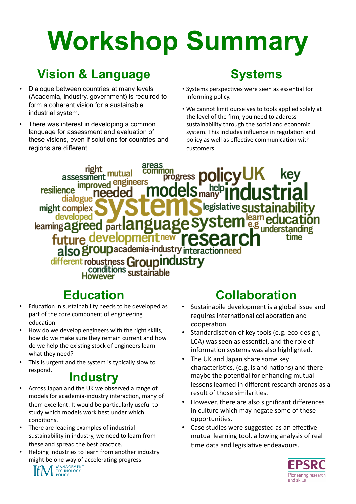## **Workshop Summary**

#### **Vision & Language**

- Dialoque between countries at many levels (Academia, industry, government) is required to form a coherent vision for a sustainable industrial system.
- There was interest in developing a common language for assessment and evaluation of these visions, even if solutions for countries and regions are different.

#### **Systems**

- Systems perspectives were seen as essential for informing policy.
- . We cannot limit ourselves to tools applied solely at the level of the firm, you need to address sustainability through the social and economic system. This includes influence in regulation and policy as well as effective communication with customers.

areas rıgr kev progress assessmen improved engineers resilience needed dialogue legislative **SUSTAI**I might complex learn educa<br>e.g <sub>understa</sub> developed learning agreed part an future developm also group academia-industry interactionneed different robustness Groupindustry conditions sustainable

#### **Education**

- Education in sustainability needs to be developed as  $\bullet$ part of the core component of engineering education.
- How do we develop engineers with the right skills, how do we make sure they remain current and how do we help the existing stock of engineers learn what they need?
- This is urgent and the system is typically slow to respond.

#### **Industry**

- Across Japan and the UK we observed a range of models for academia-industry interaction, many of them excellent. It would be particularly useful to study which models work best under which conditions.
- There are leading examples of industrial sustainability in industry, we need to learn from these and spread the best practice.
- Helping industries to learn from another industry might be one way of accelerating progress.



#### **Collaboration**

- Sustainabile development is a global issue and requires international collaboration and cooperation.
- Standardisation of key tools (e.g. eco-design, LCA) was seen as essential, and the role of information systems was also highlighted.
- The UK and Japan share some key characteristics, (e.g. island nations) and there maybe the potential for enhancing mutual lessons learned in different research arenas as a result of those similarities.
- However, there are also significant differences in culture which may negate some of these opportunities.
- Case studies were suggested as an effective mutual learning tool, allowing analysis of real time data and legislative endeavours.